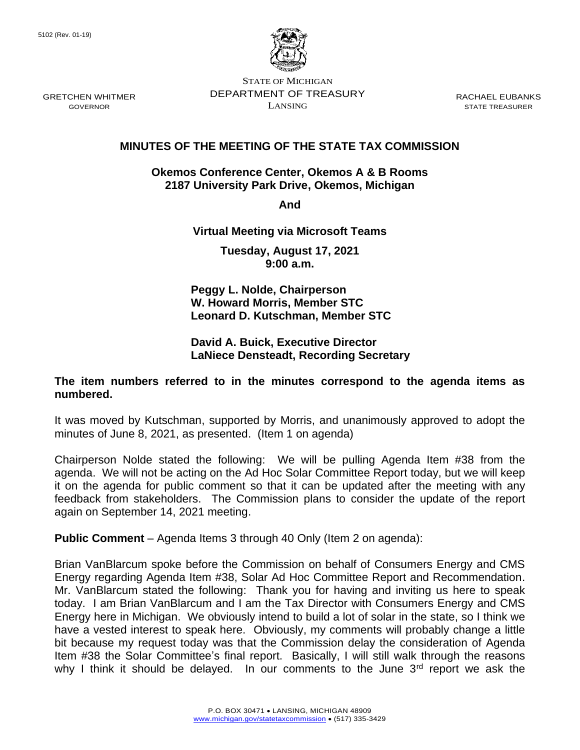

STATE OF MICHIGAN DEPARTMENT OF TREASURY LANSING

RACHAEL EUBANKS STATE TREASURER

## **MINUTES OF THE MEETING OF THE STATE TAX COMMISSION**

## **Okemos Conference Center, Okemos A & B Rooms 2187 University Park Drive, Okemos, Michigan**

**And** 

## **Virtual Meeting via Microsoft Teams**

**Tuesday, August 17, 2021 9:00 a.m.**

**Peggy L. Nolde, Chairperson W. Howard Morris, Member STC Leonard D. Kutschman, Member STC**

## **David A. Buick, Executive Director LaNiece Densteadt, Recording Secretary**

## **The item numbers referred to in the minutes correspond to the agenda items as numbered.**

It was moved by Kutschman, supported by Morris, and unanimously approved to adopt the minutes of June 8, 2021, as presented. (Item 1 on agenda)

Chairperson Nolde stated the following: We will be pulling Agenda Item #38 from the agenda. We will not be acting on the Ad Hoc Solar Committee Report today, but we will keep it on the agenda for public comment so that it can be updated after the meeting with any feedback from stakeholders. The Commission plans to consider the update of the report again on September 14, 2021 meeting.

**Public Comment** – Agenda Items 3 through 40 Only (Item 2 on agenda):

Brian VanBlarcum spoke before the Commission on behalf of Consumers Energy and CMS Energy regarding Agenda Item #38, Solar Ad Hoc Committee Report and Recommendation. Mr. VanBlarcum stated the following: Thank you for having and inviting us here to speak today. I am Brian VanBlarcum and I am the Tax Director with Consumers Energy and CMS Energy here in Michigan. We obviously intend to build a lot of solar in the state, so I think we have a vested interest to speak here. Obviously, my comments will probably change a little bit because my request today was that the Commission delay the consideration of Agenda Item #38 the Solar Committee's final report. Basically, I will still walk through the reasons why I think it should be delayed. In our comments to the June  $3<sup>rd</sup>$  report we ask the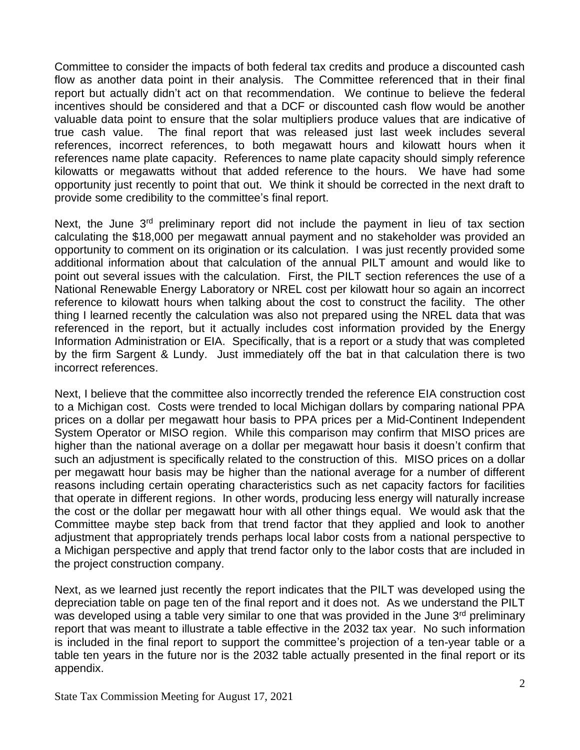Committee to consider the impacts of both federal tax credits and produce a discounted cash flow as another data point in their analysis. The Committee referenced that in their final report but actually didn't act on that recommendation. We continue to believe the federal incentives should be considered and that a DCF or discounted cash flow would be another valuable data point to ensure that the solar multipliers produce values that are indicative of true cash value. The final report that was released just last week includes several references, incorrect references, to both megawatt hours and kilowatt hours when it references name plate capacity. References to name plate capacity should simply reference kilowatts or megawatts without that added reference to the hours. We have had some opportunity just recently to point that out. We think it should be corrected in the next draft to provide some credibility to the committee's final report.

Next, the June  $3<sup>rd</sup>$  preliminary report did not include the payment in lieu of tax section calculating the \$18,000 per megawatt annual payment and no stakeholder was provided an opportunity to comment on its origination or its calculation. I was just recently provided some additional information about that calculation of the annual PILT amount and would like to point out several issues with the calculation. First, the PILT section references the use of a National Renewable Energy Laboratory or NREL cost per kilowatt hour so again an incorrect reference to kilowatt hours when talking about the cost to construct the facility. The other thing I learned recently the calculation was also not prepared using the NREL data that was referenced in the report, but it actually includes cost information provided by the Energy Information Administration or EIA. Specifically, that is a report or a study that was completed by the firm Sargent & Lundy. Just immediately off the bat in that calculation there is two incorrect references.

Next, I believe that the committee also incorrectly trended the reference EIA construction cost to a Michigan cost. Costs were trended to local Michigan dollars by comparing national PPA prices on a dollar per megawatt hour basis to PPA prices per a Mid-Continent Independent System Operator or MISO region. While this comparison may confirm that MISO prices are higher than the national average on a dollar per megawatt hour basis it doesn't confirm that such an adjustment is specifically related to the construction of this. MISO prices on a dollar per megawatt hour basis may be higher than the national average for a number of different reasons including certain operating characteristics such as net capacity factors for facilities that operate in different regions. In other words, producing less energy will naturally increase the cost or the dollar per megawatt hour with all other things equal. We would ask that the Committee maybe step back from that trend factor that they applied and look to another adjustment that appropriately trends perhaps local labor costs from a national perspective to a Michigan perspective and apply that trend factor only to the labor costs that are included in the project construction company.

Next, as we learned just recently the report indicates that the PILT was developed using the depreciation table on page ten of the final report and it does not. As we understand the PILT was developed using a table very similar to one that was provided in the June 3<sup>rd</sup> preliminary report that was meant to illustrate a table effective in the 2032 tax year. No such information is included in the final report to support the committee's projection of a ten-year table or a table ten years in the future nor is the 2032 table actually presented in the final report or its appendix.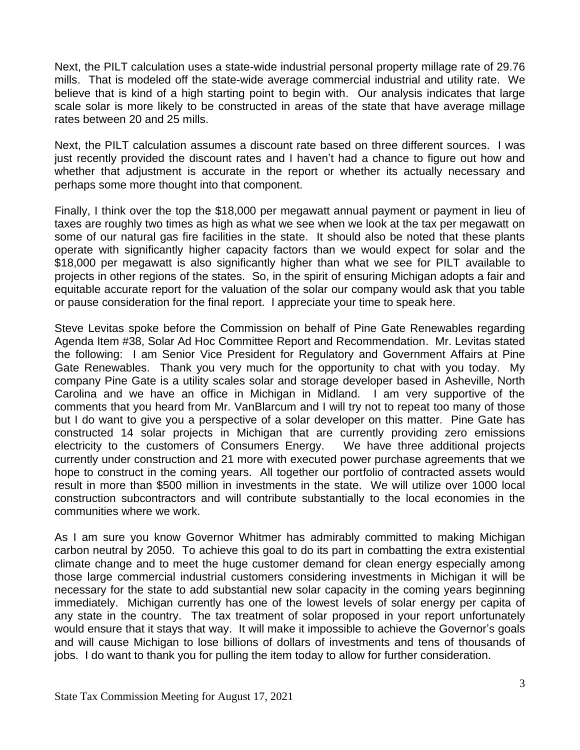Next, the PILT calculation uses a state-wide industrial personal property millage rate of 29.76 mills. That is modeled off the state-wide average commercial industrial and utility rate. We believe that is kind of a high starting point to begin with. Our analysis indicates that large scale solar is more likely to be constructed in areas of the state that have average millage rates between 20 and 25 mills.

Next, the PILT calculation assumes a discount rate based on three different sources. I was just recently provided the discount rates and I haven't had a chance to figure out how and whether that adjustment is accurate in the report or whether its actually necessary and perhaps some more thought into that component.

Finally, I think over the top the \$18,000 per megawatt annual payment or payment in lieu of taxes are roughly two times as high as what we see when we look at the tax per megawatt on some of our natural gas fire facilities in the state. It should also be noted that these plants operate with significantly higher capacity factors than we would expect for solar and the \$18,000 per megawatt is also significantly higher than what we see for PILT available to projects in other regions of the states. So, in the spirit of ensuring Michigan adopts a fair and equitable accurate report for the valuation of the solar our company would ask that you table or pause consideration for the final report. I appreciate your time to speak here.

Steve Levitas spoke before the Commission on behalf of Pine Gate Renewables regarding Agenda Item #38, Solar Ad Hoc Committee Report and Recommendation. Mr. Levitas stated the following: I am Senior Vice President for Regulatory and Government Affairs at Pine Gate Renewables. Thank you very much for the opportunity to chat with you today. My company Pine Gate is a utility scales solar and storage developer based in Asheville, North Carolina and we have an office in Michigan in Midland. I am very supportive of the comments that you heard from Mr. VanBlarcum and I will try not to repeat too many of those but I do want to give you a perspective of a solar developer on this matter. Pine Gate has constructed 14 solar projects in Michigan that are currently providing zero emissions electricity to the customers of Consumers Energy. We have three additional projects currently under construction and 21 more with executed power purchase agreements that we hope to construct in the coming years. All together our portfolio of contracted assets would result in more than \$500 million in investments in the state. We will utilize over 1000 local construction subcontractors and will contribute substantially to the local economies in the communities where we work.

As I am sure you know Governor Whitmer has admirably committed to making Michigan carbon neutral by 2050. To achieve this goal to do its part in combatting the extra existential climate change and to meet the huge customer demand for clean energy especially among those large commercial industrial customers considering investments in Michigan it will be necessary for the state to add substantial new solar capacity in the coming years beginning immediately. Michigan currently has one of the lowest levels of solar energy per capita of any state in the country. The tax treatment of solar proposed in your report unfortunately would ensure that it stays that way. It will make it impossible to achieve the Governor's goals and will cause Michigan to lose billions of dollars of investments and tens of thousands of jobs. I do want to thank you for pulling the item today to allow for further consideration.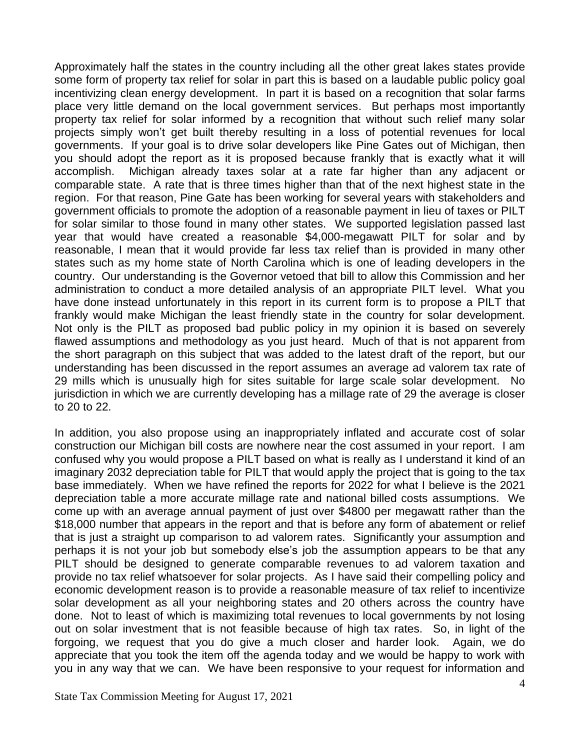Approximately half the states in the country including all the other great lakes states provide some form of property tax relief for solar in part this is based on a laudable public policy goal incentivizing clean energy development. In part it is based on a recognition that solar farms place very little demand on the local government services. But perhaps most importantly property tax relief for solar informed by a recognition that without such relief many solar projects simply won't get built thereby resulting in a loss of potential revenues for local governments. If your goal is to drive solar developers like Pine Gates out of Michigan, then you should adopt the report as it is proposed because frankly that is exactly what it will accomplish. Michigan already taxes solar at a rate far higher than any adjacent or comparable state. A rate that is three times higher than that of the next highest state in the region. For that reason, Pine Gate has been working for several years with stakeholders and government officials to promote the adoption of a reasonable payment in lieu of taxes or PILT for solar similar to those found in many other states. We supported legislation passed last year that would have created a reasonable \$4,000-megawatt PILT for solar and by reasonable, I mean that it would provide far less tax relief than is provided in many other states such as my home state of North Carolina which is one of leading developers in the country. Our understanding is the Governor vetoed that bill to allow this Commission and her administration to conduct a more detailed analysis of an appropriate PILT level. What you have done instead unfortunately in this report in its current form is to propose a PILT that frankly would make Michigan the least friendly state in the country for solar development. Not only is the PILT as proposed bad public policy in my opinion it is based on severely flawed assumptions and methodology as you just heard. Much of that is not apparent from the short paragraph on this subject that was added to the latest draft of the report, but our understanding has been discussed in the report assumes an average ad valorem tax rate of 29 mills which is unusually high for sites suitable for large scale solar development. No jurisdiction in which we are currently developing has a millage rate of 29 the average is closer to 20 to 22.

In addition, you also propose using an inappropriately inflated and accurate cost of solar construction our Michigan bill costs are nowhere near the cost assumed in your report. I am confused why you would propose a PILT based on what is really as I understand it kind of an imaginary 2032 depreciation table for PILT that would apply the project that is going to the tax base immediately. When we have refined the reports for 2022 for what I believe is the 2021 depreciation table a more accurate millage rate and national billed costs assumptions. We come up with an average annual payment of just over \$4800 per megawatt rather than the \$18,000 number that appears in the report and that is before any form of abatement or relief that is just a straight up comparison to ad valorem rates. Significantly your assumption and perhaps it is not your job but somebody else's job the assumption appears to be that any PILT should be designed to generate comparable revenues to ad valorem taxation and provide no tax relief whatsoever for solar projects. As I have said their compelling policy and economic development reason is to provide a reasonable measure of tax relief to incentivize solar development as all your neighboring states and 20 others across the country have done. Not to least of which is maximizing total revenues to local governments by not losing out on solar investment that is not feasible because of high tax rates. So, in light of the forgoing, we request that you do give a much closer and harder look. Again, we do appreciate that you took the item off the agenda today and we would be happy to work with you in any way that we can. We have been responsive to your request for information and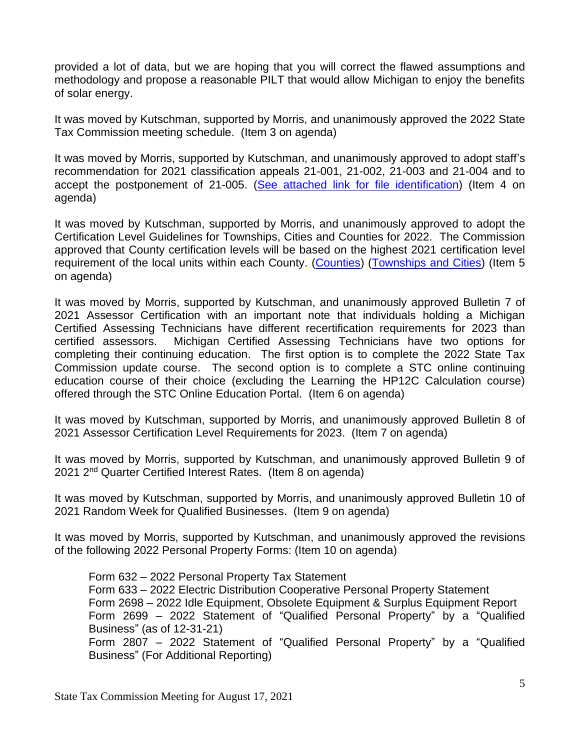provided a lot of data, but we are hoping that you will correct the flawed assumptions and methodology and propose a reasonable PILT that would allow Michigan to enjoy the benefits of solar energy.

It was moved by Kutschman, supported by Morris, and unanimously approved the 2022 State Tax Commission meeting schedule. (Item 3 on agenda)

It was moved by Morris, supported by Kutschman, and unanimously approved to adopt staff's recommendation for 2021 classification appeals 21-001, 21-002, 21-003 and 21-004 and to accept the postponement of 21-005. [\(See attached link for file identification\)](https://www.michigan.gov/documents/treasury/2021_Class_Appeal_Determinations_from_August_17_2021_Meeting_734150_7.pdf) (Item 4 on agenda)

It was moved by Kutschman, supported by Morris, and unanimously approved to adopt the Certification Level Guidelines for Townships, Cities and Counties for 2022. The Commission approved that County certification levels will be based on the highest 2021 certification level requirement of the local units within each County. [\(Counties\)](https://www.michigan.gov/documents/treasury/County_Certification_Level_Requirements_733200_7.pdf) [\(Townships and Cities\)](https://www.michigan.gov/documents/treasury/Township__City_Certification_Level_Requirements_733199_7.pdf) (Item 5 on agenda)

It was moved by Morris, supported by Kutschman, and unanimously approved Bulletin 7 of 2021 Assessor Certification with an important note that individuals holding a Michigan Certified Assessing Technicians have different recertification requirements for 2023 than certified assessors. Michigan Certified Assessing Technicians have two options for completing their continuing education. The first option is to complete the 2022 State Tax Commission update course. The second option is to complete a STC online continuing education course of their choice (excluding the Learning the HP12C Calculation course) offered through the STC Online Education Portal. (Item 6 on agenda)

It was moved by Kutschman, supported by Morris, and unanimously approved Bulletin 8 of 2021 Assessor Certification Level Requirements for 2023. (Item 7 on agenda)

It was moved by Morris, supported by Kutschman, and unanimously approved Bulletin 9 of 2021 2nd Quarter Certified Interest Rates. (Item 8 on agenda)

It was moved by Kutschman, supported by Morris, and unanimously approved Bulletin 10 of 2021 Random Week for Qualified Businesses. (Item 9 on agenda)

It was moved by Morris, supported by Kutschman, and unanimously approved the revisions of the following 2022 Personal Property Forms: (Item 10 on agenda)

Form 632 – 2022 Personal Property Tax Statement Form 633 – 2022 Electric Distribution Cooperative Personal Property Statement Form 2698 – 2022 Idle Equipment, Obsolete Equipment & Surplus Equipment Report Form 2699 – 2022 Statement of "Qualified Personal Property" by a "Qualified Business" (as of 12-31-21) Form 2807 – 2022 Statement of "Qualified Personal Property" by a "Qualified Business" (For Additional Reporting)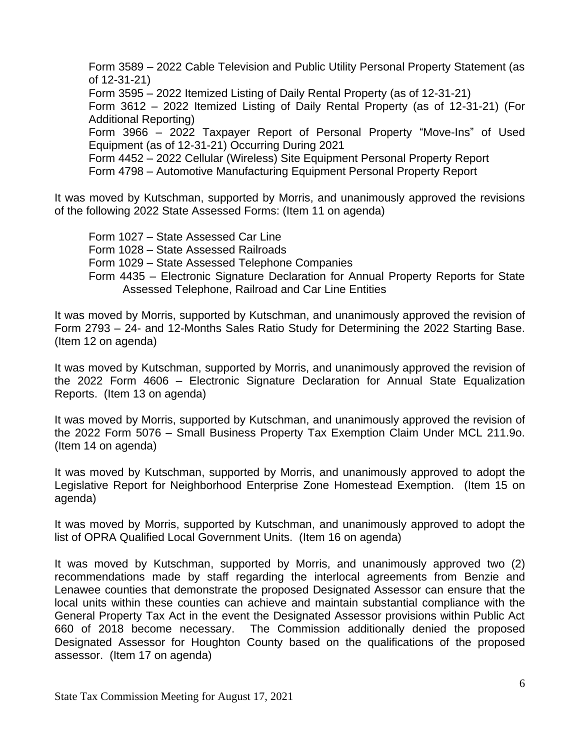Form 3589 – 2022 Cable Television and Public Utility Personal Property Statement (as of 12-31-21) Form 3595 – 2022 Itemized Listing of Daily Rental Property (as of 12-31-21)

Form 3612 – 2022 Itemized Listing of Daily Rental Property (as of 12-31-21) (For Additional Reporting)

Form 3966 – 2022 Taxpayer Report of Personal Property "Move-Ins" of Used Equipment (as of 12-31-21) Occurring During 2021

Form 4452 – 2022 Cellular (Wireless) Site Equipment Personal Property Report Form 4798 – Automotive Manufacturing Equipment Personal Property Report

It was moved by Kutschman, supported by Morris, and unanimously approved the revisions of the following 2022 State Assessed Forms: (Item 11 on agenda)

Form 1027 – State Assessed Car Line Form 1028 – State Assessed Railroads Form 1029 – State Assessed Telephone Companies Form 4435 – Electronic Signature Declaration for Annual Property Reports for State Assessed Telephone, Railroad and Car Line Entities

It was moved by Morris, supported by Kutschman, and unanimously approved the revision of Form 2793 – 24- and 12-Months Sales Ratio Study for Determining the 2022 Starting Base. (Item 12 on agenda)

It was moved by Kutschman, supported by Morris, and unanimously approved the revision of the 2022 Form 4606 – Electronic Signature Declaration for Annual State Equalization Reports. (Item 13 on agenda)

It was moved by Morris, supported by Kutschman, and unanimously approved the revision of the 2022 Form 5076 – Small Business Property Tax Exemption Claim Under MCL 211.9o. (Item 14 on agenda)

It was moved by Kutschman, supported by Morris, and unanimously approved to adopt the Legislative Report for Neighborhood Enterprise Zone Homestead Exemption. (Item 15 on agenda)

It was moved by Morris, supported by Kutschman, and unanimously approved to adopt the list of OPRA Qualified Local Government Units. (Item 16 on agenda)

It was moved by Kutschman, supported by Morris, and unanimously approved two (2) recommendations made by staff regarding the interlocal agreements from Benzie and Lenawee counties that demonstrate the proposed Designated Assessor can ensure that the local units within these counties can achieve and maintain substantial compliance with the General Property Tax Act in the event the Designated Assessor provisions within Public Act 660 of 2018 become necessary. The Commission additionally denied the proposed Designated Assessor for Houghton County based on the qualifications of the proposed assessor. (Item 17 on agenda)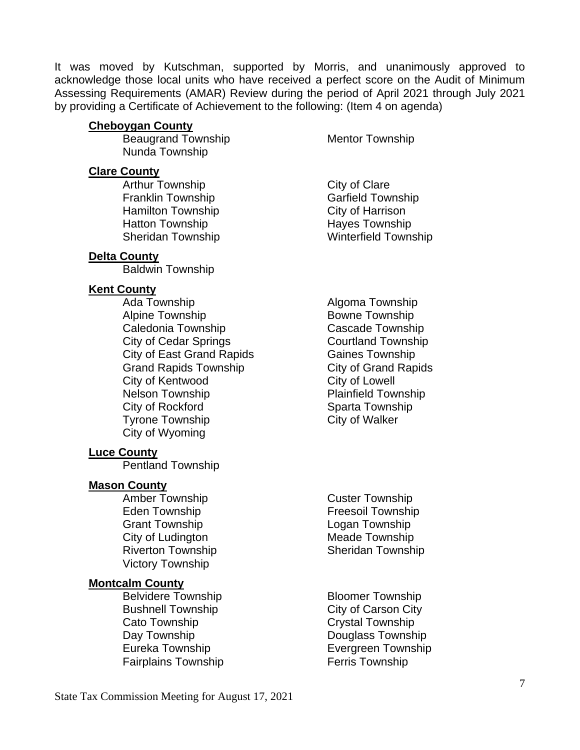It was moved by Kutschman, supported by Morris, and unanimously approved to acknowledge those local units who have received a perfect score on the Audit of Minimum Assessing Requirements (AMAR) Review during the period of April 2021 through July 2021 by providing a Certificate of Achievement to the following: (Item 4 on agenda)

#### **Cheboygan County**

Beaugrand Township Mentor Township Nunda Township

## **Clare County**

Arthur Township City of Clare Franklin Township Garfield Township Hamilton Township City of Harrison Hatton Township **Hayes Township** 

## **Delta County**

Baldwin Township

#### **Kent County**

Ada Township **Algoma Township** Algoma Township Alpine Township **Bowne Township** Caledonia Township Cascade Township City of Cedar Springs Courtland Township City of East Grand Rapids Gaines Township Grand Rapids Township City of Grand Rapids City of Kentwood City of Lowell Nelson Township **Nelson** Township City of Rockford Sparta Township Tyrone Township City of Walker City of Wyoming

#### **Luce County**

Pentland Township

#### **Mason County**

Amber Township Custer Township Grant Township Logan Township City of Ludington **Meade Township** Victory Township

#### **Montcalm County**

Belvidere Township Bloomer Township Bushnell Township City of Carson City Cato Township Cato Township Fairplains Township Ferris Township

Sheridan Township Winterfield Township

Eden Township **Eden** Township Riverton Township Sheridan Township

Day Township **Douglass Township** Eureka Township Evergreen Township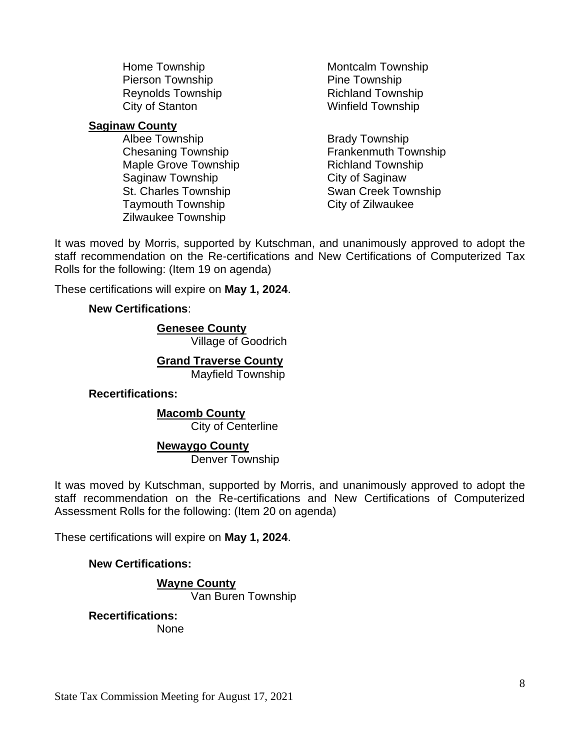Pierson Township **Pine Township** Reynolds Township Richland Township City of Stanton Number 2012 Winfield Township

#### **Saginaw County**

Albee Township Brady Township Maple Grove Township **Richland Township** Saginaw Township City of Saginaw St. Charles Township Swan Creek Township Taymouth Township City of Zilwaukee Zilwaukee Township

Home Township Montcalm Township

Chesaning Township **Example 1** Frankenmuth Township

It was moved by Morris, supported by Kutschman, and unanimously approved to adopt the staff recommendation on the Re-certifications and New Certifications of Computerized Tax Rolls for the following: (Item 19 on agenda)

These certifications will expire on **May 1, 2024**.

## **New Certifications**:

#### **Genesee County**

Village of Goodrich

# **Grand Traverse County**

Mayfield Township

#### **Recertifications:**

## **Macomb County**

City of Centerline

## **Newaygo County**

Denver Township

It was moved by Kutschman, supported by Morris, and unanimously approved to adopt the staff recommendation on the Re-certifications and New Certifications of Computerized Assessment Rolls for the following: (Item 20 on agenda)

These certifications will expire on **May 1, 2024**.

#### **New Certifications:**

# **Wayne County**

Van Buren Township

**Recertifications:** None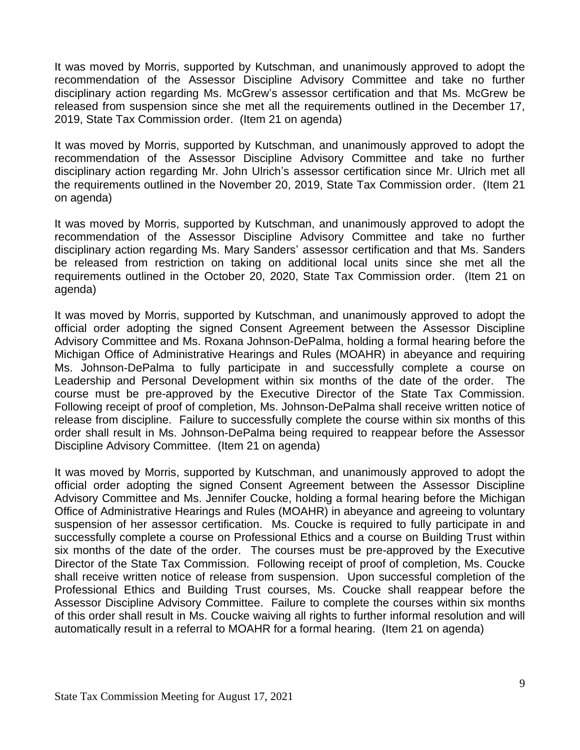It was moved by Morris, supported by Kutschman, and unanimously approved to adopt the recommendation of the Assessor Discipline Advisory Committee and take no further disciplinary action regarding Ms. McGrew's assessor certification and that Ms. McGrew be released from suspension since she met all the requirements outlined in the December 17, 2019, State Tax Commission order. (Item 21 on agenda)

It was moved by Morris, supported by Kutschman, and unanimously approved to adopt the recommendation of the Assessor Discipline Advisory Committee and take no further disciplinary action regarding Mr. John Ulrich's assessor certification since Mr. Ulrich met all the requirements outlined in the November 20, 2019, State Tax Commission order. (Item 21 on agenda)

It was moved by Morris, supported by Kutschman, and unanimously approved to adopt the recommendation of the Assessor Discipline Advisory Committee and take no further disciplinary action regarding Ms. Mary Sanders' assessor certification and that Ms. Sanders be released from restriction on taking on additional local units since she met all the requirements outlined in the October 20, 2020, State Tax Commission order. (Item 21 on agenda)

It was moved by Morris, supported by Kutschman, and unanimously approved to adopt the official order adopting the signed Consent Agreement between the Assessor Discipline Advisory Committee and Ms. Roxana Johnson-DePalma, holding a formal hearing before the Michigan Office of Administrative Hearings and Rules (MOAHR) in abeyance and requiring Ms. Johnson-DePalma to fully participate in and successfully complete a course on Leadership and Personal Development within six months of the date of the order. The course must be pre-approved by the Executive Director of the State Tax Commission. Following receipt of proof of completion, Ms. Johnson-DePalma shall receive written notice of release from discipline. Failure to successfully complete the course within six months of this order shall result in Ms. Johnson-DePalma being required to reappear before the Assessor Discipline Advisory Committee. (Item 21 on agenda)

It was moved by Morris, supported by Kutschman, and unanimously approved to adopt the official order adopting the signed Consent Agreement between the Assessor Discipline Advisory Committee and Ms. Jennifer Coucke, holding a formal hearing before the Michigan Office of Administrative Hearings and Rules (MOAHR) in abeyance and agreeing to voluntary suspension of her assessor certification. Ms. Coucke is required to fully participate in and successfully complete a course on Professional Ethics and a course on Building Trust within six months of the date of the order. The courses must be pre-approved by the Executive Director of the State Tax Commission. Following receipt of proof of completion, Ms. Coucke shall receive written notice of release from suspension. Upon successful completion of the Professional Ethics and Building Trust courses, Ms. Coucke shall reappear before the Assessor Discipline Advisory Committee. Failure to complete the courses within six months of this order shall result in Ms. Coucke waiving all rights to further informal resolution and will automatically result in a referral to MOAHR for a formal hearing. (Item 21 on agenda)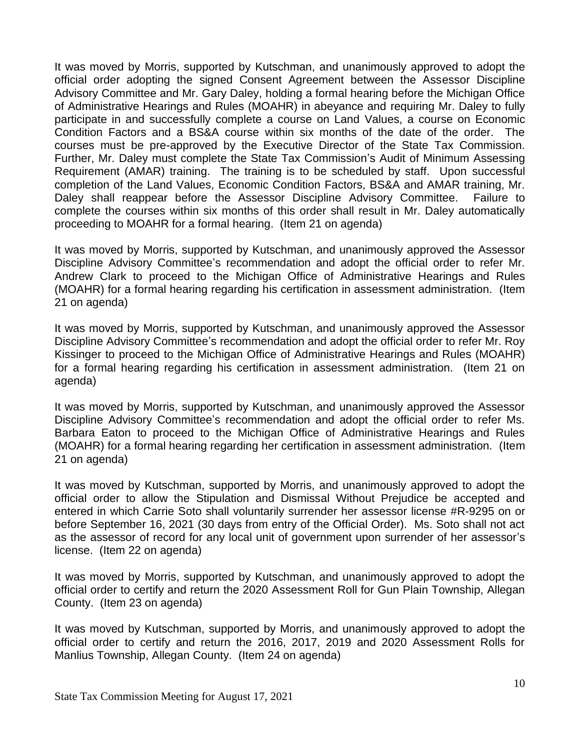It was moved by Morris, supported by Kutschman, and unanimously approved to adopt the official order adopting the signed Consent Agreement between the Assessor Discipline Advisory Committee and Mr. Gary Daley, holding a formal hearing before the Michigan Office of Administrative Hearings and Rules (MOAHR) in abeyance and requiring Mr. Daley to fully participate in and successfully complete a course on Land Values, a course on Economic Condition Factors and a BS&A course within six months of the date of the order. The courses must be pre-approved by the Executive Director of the State Tax Commission. Further, Mr. Daley must complete the State Tax Commission's Audit of Minimum Assessing Requirement (AMAR) training. The training is to be scheduled by staff. Upon successful completion of the Land Values, Economic Condition Factors, BS&A and AMAR training, Mr. Daley shall reappear before the Assessor Discipline Advisory Committee. Failure to complete the courses within six months of this order shall result in Mr. Daley automatically proceeding to MOAHR for a formal hearing. (Item 21 on agenda)

It was moved by Morris, supported by Kutschman, and unanimously approved the Assessor Discipline Advisory Committee's recommendation and adopt the official order to refer Mr. Andrew Clark to proceed to the Michigan Office of Administrative Hearings and Rules (MOAHR) for a formal hearing regarding his certification in assessment administration. (Item 21 on agenda)

It was moved by Morris, supported by Kutschman, and unanimously approved the Assessor Discipline Advisory Committee's recommendation and adopt the official order to refer Mr. Roy Kissinger to proceed to the Michigan Office of Administrative Hearings and Rules (MOAHR) for a formal hearing regarding his certification in assessment administration. (Item 21 on agenda)

It was moved by Morris, supported by Kutschman, and unanimously approved the Assessor Discipline Advisory Committee's recommendation and adopt the official order to refer Ms. Barbara Eaton to proceed to the Michigan Office of Administrative Hearings and Rules (MOAHR) for a formal hearing regarding her certification in assessment administration. (Item 21 on agenda)

It was moved by Kutschman, supported by Morris, and unanimously approved to adopt the official order to allow the Stipulation and Dismissal Without Prejudice be accepted and entered in which Carrie Soto shall voluntarily surrender her assessor license #R-9295 on or before September 16, 2021 (30 days from entry of the Official Order). Ms. Soto shall not act as the assessor of record for any local unit of government upon surrender of her assessor's license. (Item 22 on agenda)

It was moved by Morris, supported by Kutschman, and unanimously approved to adopt the official order to certify and return the 2020 Assessment Roll for Gun Plain Township, Allegan County. (Item 23 on agenda)

It was moved by Kutschman, supported by Morris, and unanimously approved to adopt the official order to certify and return the 2016, 2017, 2019 and 2020 Assessment Rolls for Manlius Township, Allegan County. (Item 24 on agenda)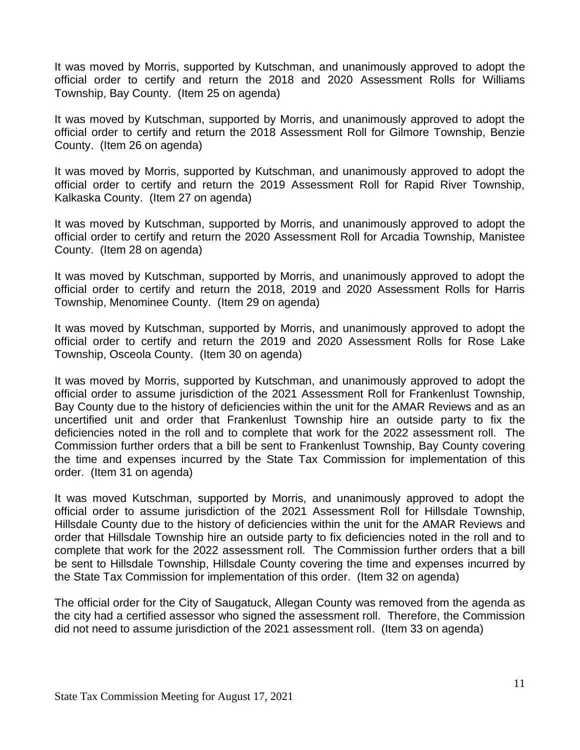It was moved by Morris, supported by Kutschman, and unanimously approved to adopt the official order to certify and return the 2018 and 2020 Assessment Rolls for Williams Township, Bay County. (Item 25 on agenda)

It was moved by Kutschman, supported by Morris, and unanimously approved to adopt the official order to certify and return the 2018 Assessment Roll for Gilmore Township, Benzie County. (Item 26 on agenda)

It was moved by Morris, supported by Kutschman, and unanimously approved to adopt the official order to certify and return the 2019 Assessment Roll for Rapid River Township, Kalkaska County. (Item 27 on agenda)

It was moved by Kutschman, supported by Morris, and unanimously approved to adopt the official order to certify and return the 2020 Assessment Roll for Arcadia Township, Manistee County. (Item 28 on agenda)

It was moved by Kutschman, supported by Morris, and unanimously approved to adopt the official order to certify and return the 2018, 2019 and 2020 Assessment Rolls for Harris Township, Menominee County. (Item 29 on agenda)

It was moved by Kutschman, supported by Morris, and unanimously approved to adopt the official order to certify and return the 2019 and 2020 Assessment Rolls for Rose Lake Township, Osceola County. (Item 30 on agenda)

It was moved by Morris, supported by Kutschman, and unanimously approved to adopt the official order to assume jurisdiction of the 2021 Assessment Roll for Frankenlust Township, Bay County due to the history of deficiencies within the unit for the AMAR Reviews and as an uncertified unit and order that Frankenlust Township hire an outside party to fix the deficiencies noted in the roll and to complete that work for the 2022 assessment roll. The Commission further orders that a bill be sent to Frankenlust Township, Bay County covering the time and expenses incurred by the State Tax Commission for implementation of this order. (Item 31 on agenda)

It was moved Kutschman, supported by Morris, and unanimously approved to adopt the official order to assume jurisdiction of the 2021 Assessment Roll for Hillsdale Township, Hillsdale County due to the history of deficiencies within the unit for the AMAR Reviews and order that Hillsdale Township hire an outside party to fix deficiencies noted in the roll and to complete that work for the 2022 assessment roll. The Commission further orders that a bill be sent to Hillsdale Township, Hillsdale County covering the time and expenses incurred by the State Tax Commission for implementation of this order. (Item 32 on agenda)

The official order for the City of Saugatuck, Allegan County was removed from the agenda as the city had a certified assessor who signed the assessment roll. Therefore, the Commission did not need to assume jurisdiction of the 2021 assessment roll. (Item 33 on agenda)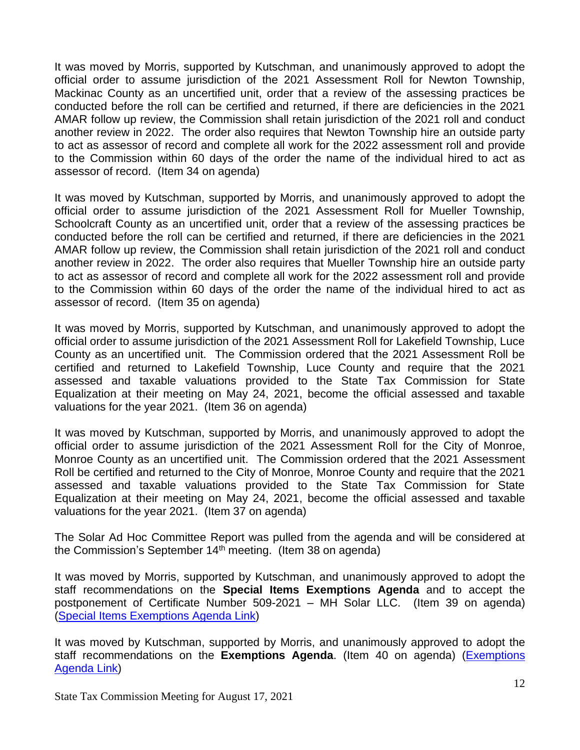It was moved by Morris, supported by Kutschman, and unanimously approved to adopt the official order to assume jurisdiction of the 2021 Assessment Roll for Newton Township, Mackinac County as an uncertified unit, order that a review of the assessing practices be conducted before the roll can be certified and returned, if there are deficiencies in the 2021 AMAR follow up review, the Commission shall retain jurisdiction of the 2021 roll and conduct another review in 2022. The order also requires that Newton Township hire an outside party to act as assessor of record and complete all work for the 2022 assessment roll and provide to the Commission within 60 days of the order the name of the individual hired to act as assessor of record. (Item 34 on agenda)

It was moved by Kutschman, supported by Morris, and unanimously approved to adopt the official order to assume jurisdiction of the 2021 Assessment Roll for Mueller Township, Schoolcraft County as an uncertified unit, order that a review of the assessing practices be conducted before the roll can be certified and returned, if there are deficiencies in the 2021 AMAR follow up review, the Commission shall retain jurisdiction of the 2021 roll and conduct another review in 2022. The order also requires that Mueller Township hire an outside party to act as assessor of record and complete all work for the 2022 assessment roll and provide to the Commission within 60 days of the order the name of the individual hired to act as assessor of record. (Item 35 on agenda)

It was moved by Morris, supported by Kutschman, and unanimously approved to adopt the official order to assume jurisdiction of the 2021 Assessment Roll for Lakefield Township, Luce County as an uncertified unit. The Commission ordered that the 2021 Assessment Roll be certified and returned to Lakefield Township, Luce County and require that the 2021 assessed and taxable valuations provided to the State Tax Commission for State Equalization at their meeting on May 24, 2021, become the official assessed and taxable valuations for the year 2021. (Item 36 on agenda)

It was moved by Kutschman, supported by Morris, and unanimously approved to adopt the official order to assume jurisdiction of the 2021 Assessment Roll for the City of Monroe, Monroe County as an uncertified unit. The Commission ordered that the 2021 Assessment Roll be certified and returned to the City of Monroe, Monroe County and require that the 2021 assessed and taxable valuations provided to the State Tax Commission for State Equalization at their meeting on May 24, 2021, become the official assessed and taxable valuations for the year 2021. (Item 37 on agenda)

The Solar Ad Hoc Committee Report was pulled from the agenda and will be considered at the Commission's September 14<sup>th</sup> meeting. (Item 38 on agenda)

It was moved by Morris, supported by Kutschman, and unanimously approved to adopt the staff recommendations on the **Special Items Exemptions Agenda** and to accept the postponement of Certificate Number 509-2021 – MH Solar LLC. (Item 39 on agenda) (Special Items [Exemptions Agenda Link\)](https://www.michigan.gov/documents/treasury/39_Exemptions_Special_Item_Agenda_732325_7.pdf)

It was moved by Kutschman, supported by Morris, and unanimously approved to adopt the staff recommendations on the **Exemptions Agenda**. (Item 40 on agenda) [\(Exemptions](https://www.michigan.gov/documents/treasury/40_Exemptions_Agenda_732326_7.pdf)  [Agenda Link\)](https://www.michigan.gov/documents/treasury/40_Exemptions_Agenda_732326_7.pdf)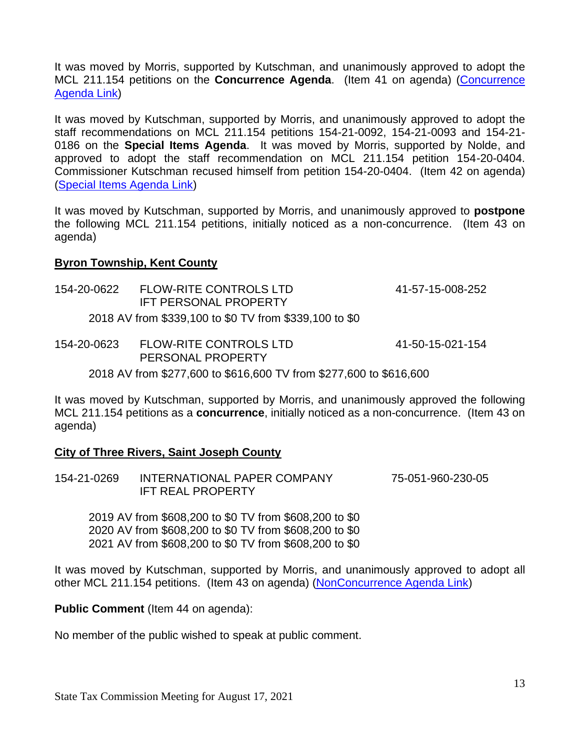It was moved by Morris, supported by Kutschman, and unanimously approved to adopt the MCL 211.154 petitions on the **Concurrence Agenda**. (Item 41 on agenda) [\(Concurrence](https://www.michigan.gov/documents/treasury/41_Concurrence_Agenda_732327_7.pdf) [Agenda Link\)](https://www.michigan.gov/documents/treasury/41_Concurrence_Agenda_732327_7.pdf)

It was moved by Kutschman, supported by Morris, and unanimously approved to adopt the staff recommendations on MCL 211.154 petitions 154-21-0092, 154-21-0093 and 154-21- 0186 on the **Special Items Agenda**. It was moved by Morris, supported by Nolde, and approved to adopt the staff recommendation on MCL 211.154 petition 154-20-0404. Commissioner Kutschman recused himself from petition 154-20-0404. (Item 42 on agenda) [\(Special Items Agenda Link\)](https://www.michigan.gov/documents/treasury/42_154_Special_Items_Agenda_732328_7.pdf)

It was moved by Kutschman, supported by Morris, and unanimously approved to **postpone** the following MCL 211.154 petitions, initially noticed as a non-concurrence. (Item 43 on agenda)

## **Byron Township, Kent County**

| 154-20-0622                                            | <b>FLOW-RITE CONTROLS LTD</b>                                      | 41-57-15-008-252 |  |
|--------------------------------------------------------|--------------------------------------------------------------------|------------------|--|
|                                                        | <b>IFT PERSONAL PROPERTY</b>                                       |                  |  |
| 2018 AV from \$339,100 to \$0 TV from \$339,100 to \$0 |                                                                    |                  |  |
| 154-20-0623                                            | <b>FLOW-RITE CONTROLS LTD</b><br>PERSONAL PROPERTY                 | 41-50-15-021-154 |  |
|                                                        | 2018 AV from \$277,600 to \$616,600 TV from \$277,600 to \$616,600 |                  |  |

It was moved by Kutschman, supported by Morris, and unanimously approved the following MCL 211.154 petitions as a **concurrence**, initially noticed as a non-concurrence. (Item 43 on agenda)

## **City of Three Rivers, Saint Joseph County**

154-21-0269 INTERNATIONAL PAPER COMPANY 75-051-960-230-05 IFT REAL PROPERTY

2019 AV from \$608,200 to \$0 TV from \$608,200 to \$0 2020 AV from \$608,200 to \$0 TV from \$608,200 to \$0 2021 AV from \$608,200 to \$0 TV from \$608,200 to \$0

It was moved by Kutschman, supported by Morris, and unanimously approved to adopt all other MCL 211.154 petitions. (Item 43 on agenda) [\(NonConcurrence Agenda Link\)](https://www.michigan.gov/documents/treasury/Agenda_-_NonConcurrence_for_Minutes_734151_7.pdf)

**Public Comment** (Item 44 on agenda):

No member of the public wished to speak at public comment.